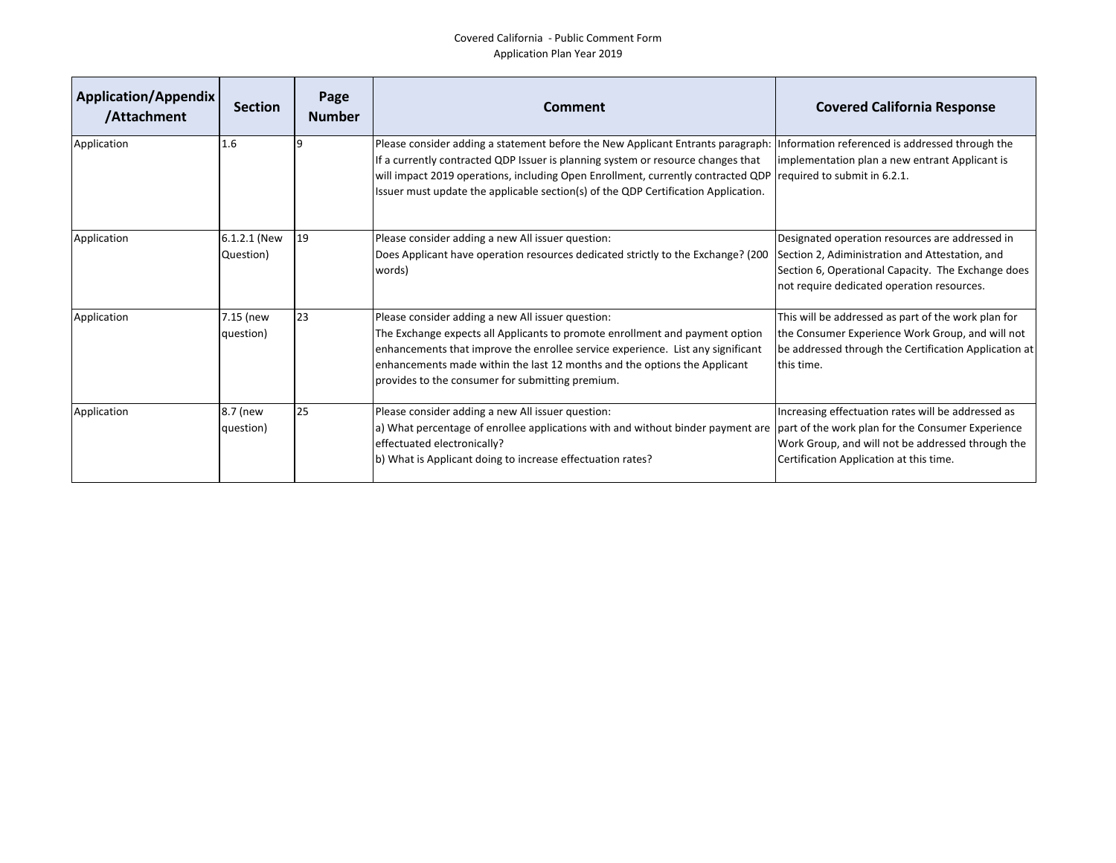## Covered California - Public Comment Form Application Plan Year 2019

| Application/Appendix<br>/Attachment | <b>Section</b>            | Page<br><b>Number</b> | Comment                                                                                                                                                                                                                                                                                                                                                                    | <b>Covered California Response</b>                                                                                                                                                                     |
|-------------------------------------|---------------------------|-----------------------|----------------------------------------------------------------------------------------------------------------------------------------------------------------------------------------------------------------------------------------------------------------------------------------------------------------------------------------------------------------------------|--------------------------------------------------------------------------------------------------------------------------------------------------------------------------------------------------------|
| Application                         | 1.6                       |                       | Please consider adding a statement before the New Applicant Entrants paragraph:<br>If a currently contracted QDP Issuer is planning system or resource changes that<br>will impact 2019 operations, including Open Enrollment, currently contracted QDP required to submit in 6.2.1.<br>Issuer must update the applicable section(s) of the QDP Certification Application. | Information referenced is addressed through the<br>implementation plan a new entrant Applicant is                                                                                                      |
| Application                         | 6.1.2.1 (New<br>Question) | 19                    | Please consider adding a new All issuer question:<br>Does Applicant have operation resources dedicated strictly to the Exchange? (200<br>words)                                                                                                                                                                                                                            | Designated operation resources are addressed in<br>Section 2, Adiministration and Attestation, and<br>Section 6, Operational Capacity. The Exchange does<br>not require dedicated operation resources. |
| Application                         | 7.15 (new<br>question)    | 23                    | Please consider adding a new All issuer question:<br>The Exchange expects all Applicants to promote enrollment and payment option<br>enhancements that improve the enrollee service experience. List any significant<br>enhancements made within the last 12 months and the options the Applicant<br>provides to the consumer for submitting premium.                      | This will be addressed as part of the work plan for<br>the Consumer Experience Work Group, and will not<br>be addressed through the Certification Application at<br>this time.                         |
| Application                         | 8.7 (new<br>question)     | 25                    | Please consider adding a new All issuer question:<br>a) What percentage of enrollee applications with and without binder payment are  part of the work plan for the Consumer Experience<br>effectuated electronically?<br>b) What is Applicant doing to increase effectuation rates?                                                                                       | Increasing effectuation rates will be addressed as<br>Work Group, and will not be addressed through the<br>Certification Application at this time.                                                     |